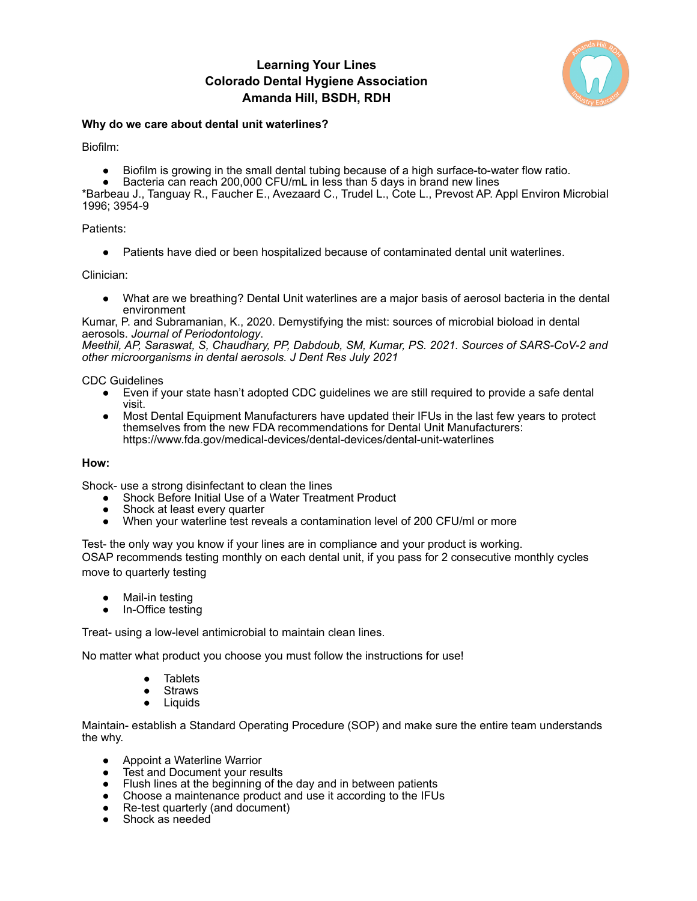# **Learning Your Lines Colorado Dental Hygiene Association Amanda Hill, BSDH, RDH**



### **Why do we care about dental unit waterlines?**

Biofilm:

- Biofilm is growing in the small dental tubing because of a high surface-to-water flow ratio.
- Bacteria can reach 200,000 CFU/mL in less than 5 days in brand new lines

\*Barbeau J., Tanguay R., Faucher E., Avezaard C., Trudel L., Cote L., Prevost AP. Appl Environ Microbial 1996; 3954-9

Patients:

• Patients have died or been hospitalized because of contaminated dental unit waterlines.

Clinician:

● What are we breathing? Dental Unit waterlines are a major basis of aerosol bacteria in the dental environment

Kumar, P. and Subramanian, K., 2020. Demystifying the mist: sources of microbial bioload in dental aerosols. *Journal of Periodontology*.

*Meethil, AP, Saraswat, S, Chaudhary, PP, Dabdoub, SM, Kumar, PS. 2021. Sources of SARS-CoV-2 and other microorganisms in dental aerosols. J Dent Res July 2021*

CDC Guidelines

- Even if your state hasn't adopted CDC guidelines we are still required to provide a safe dental visit.
- Most Dental Equipment Manufacturers have updated their IFUs in the last few years to protect themselves from the new FDA recommendations for Dental Unit Manufacturers: https://www.fda.gov/medical-devices/dental-devices/dental-unit-waterlines

#### **How:**

Shock- use a strong disinfectant to clean the lines

- Shock Before Initial Use of a Water Treatment Product
- Shock at least every quarter
- When your waterline test reveals a contamination level of 200 CFU/ml or more

Test- the only way you know if your lines are in compliance and your product is working. OSAP recommends testing monthly on each dental unit, if you pass for 2 consecutive monthly cycles move to quarterly testing

- Mail-in testing
- In-Office testing

Treat- using a low-level antimicrobial to maintain clean lines.

No matter what product you choose you must follow the instructions for use!

- Tablets
- **Straws**
- Liquids

Maintain- establish a Standard Operating Procedure (SOP) and make sure the entire team understands the why.

- Appoint a Waterline Warrior
- Test and Document your results
- Flush lines at the beginning of the day and in between patients
- Choose a maintenance product and use it according to the IFUs
- Re-test quarterly (and document)
- Shock as needed